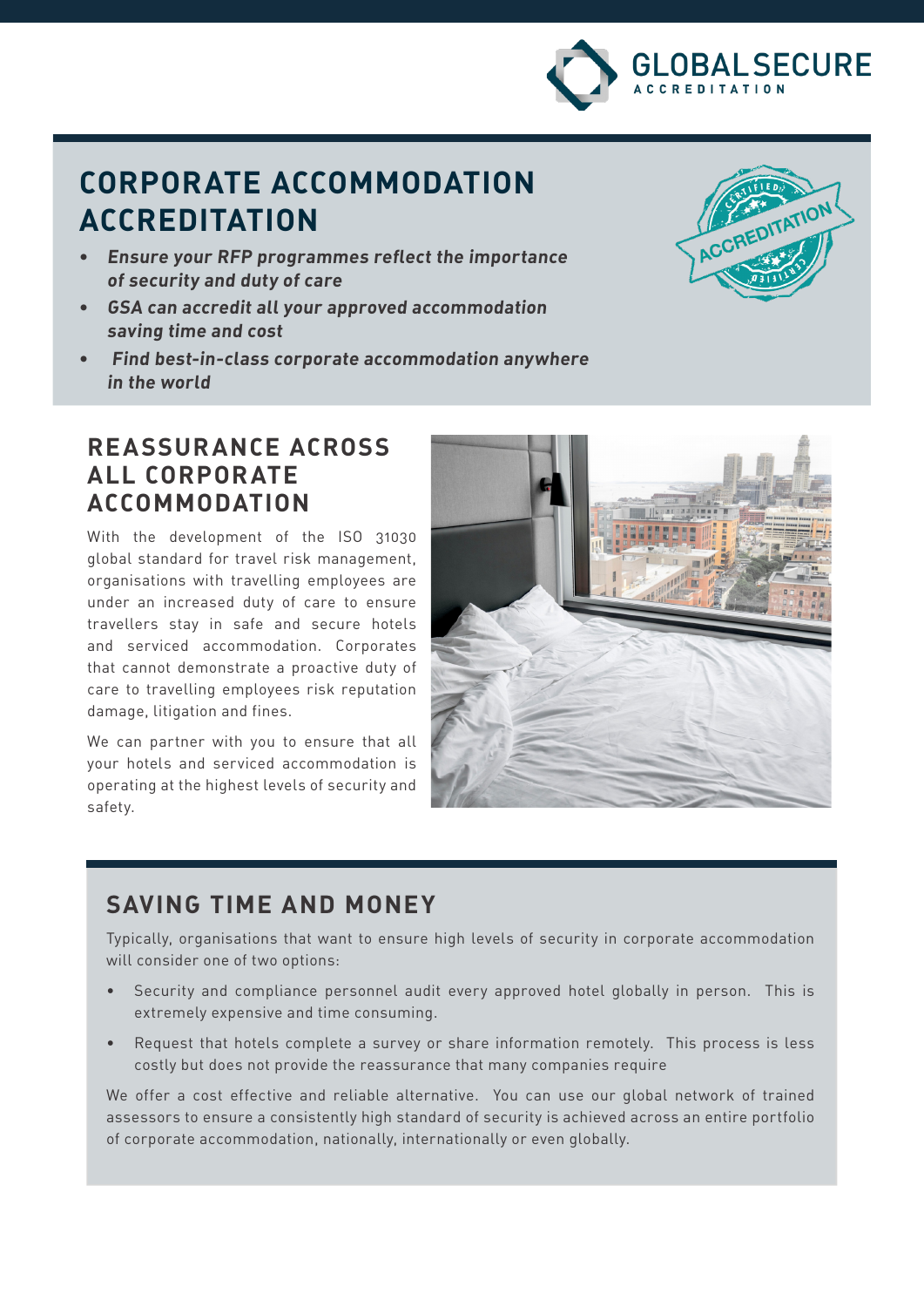

# **CORPORATE ACCOMMODATION ACCREDITATION**

- **• Ensure your RFP programmes reflect the importance of security and duty of care**
- **• GSA can accredit all your approved accommodation saving time and cost**
- **• Find best-in-class corporate accommodation anywhere in the world**



### **REASSURANCE ACROSS ALL CORPORATE ACCOMMODATION**

With the development of the ISO 31030 global standard for travel risk management, organisations with travelling employees are under an increased duty of care to ensure travellers stay in safe and secure hotels and serviced accommodation. Corporates that cannot demonstrate a proactive duty of care to travelling employees risk reputation damage, litigation and fines.

We can partner with you to ensure that all your hotels and serviced accommodation is operating at the highest levels of security and safety.



## **SAVING TIME AND MONEY**

Typically, organisations that want to ensure high levels of security in corporate accommodation will consider one of two options:

- Security and compliance personnel audit every approved hotel globally in person. This is extremely expensive and time consuming.
- Request that hotels complete a survey or share information remotely. This process is less costly but does not provide the reassurance that many companies require

We offer a cost effective and reliable alternative. You can use our global network of trained assessors to ensure a consistently high standard of security is achieved across an entire portfolio of corporate accommodation, nationally, internationally or even globally.